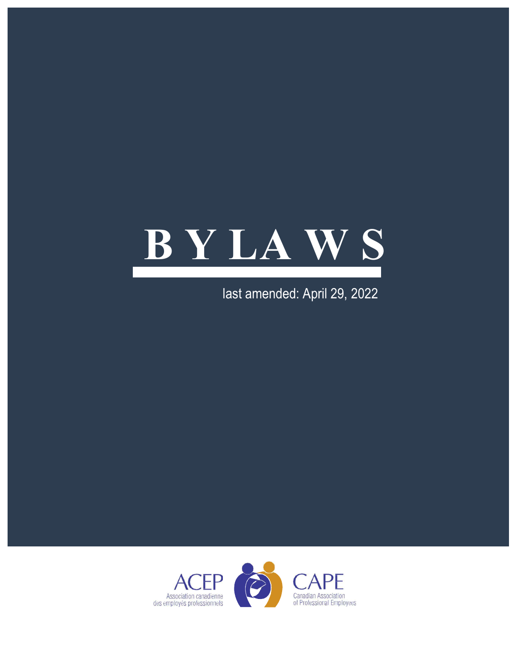

last amended: April 29, 2022

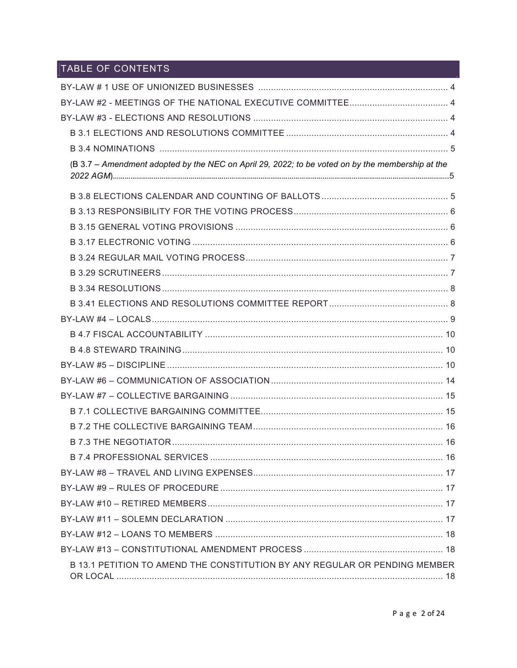# TABLE OF CONTENTS

| (B 3.7 - Amendment adopted by the NEC on April 29, 2022; to be voted on by the membership at the |  |
|--------------------------------------------------------------------------------------------------|--|
|                                                                                                  |  |
|                                                                                                  |  |
|                                                                                                  |  |
|                                                                                                  |  |
|                                                                                                  |  |
|                                                                                                  |  |
|                                                                                                  |  |
|                                                                                                  |  |
|                                                                                                  |  |
|                                                                                                  |  |
|                                                                                                  |  |
|                                                                                                  |  |
|                                                                                                  |  |
|                                                                                                  |  |
|                                                                                                  |  |
|                                                                                                  |  |
|                                                                                                  |  |
|                                                                                                  |  |
|                                                                                                  |  |
|                                                                                                  |  |
|                                                                                                  |  |
|                                                                                                  |  |
|                                                                                                  |  |
|                                                                                                  |  |
| B 13.1 PETITION TO AMEND THE CONSTITUTION BY ANY REGULAR OR PENDING MEMBER                       |  |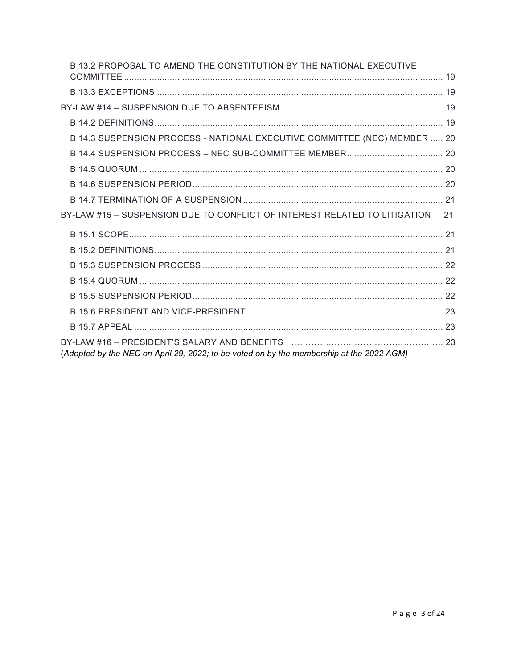| B 13.2 PROPOSAL TO AMEND THE CONSTITUTION BY THE NATIONAL EXECUTIVE                      |  |
|------------------------------------------------------------------------------------------|--|
|                                                                                          |  |
|                                                                                          |  |
|                                                                                          |  |
| B 14.3 SUSPENSION PROCESS - NATIONAL EXECUTIVE COMMITTEE (NEC) MEMBER  20                |  |
|                                                                                          |  |
|                                                                                          |  |
|                                                                                          |  |
|                                                                                          |  |
| BY-LAW #15 - SUSPENSION DUE TO CONFLICT OF INTEREST RELATED TO LITIGATION<br>21          |  |
|                                                                                          |  |
|                                                                                          |  |
|                                                                                          |  |
|                                                                                          |  |
|                                                                                          |  |
|                                                                                          |  |
|                                                                                          |  |
| (Adopted by the NEC on April 29, 2022; to be voted on by the membership at the 2022 AGM) |  |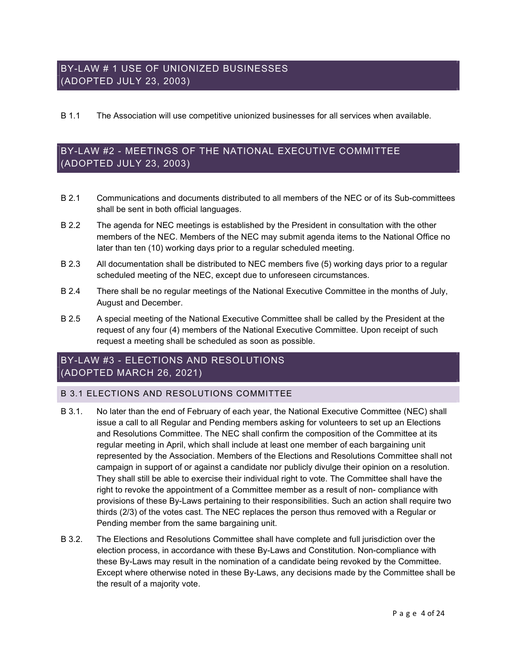## BY-LAW # 1 USE OF UNIONIZED BUSINESSES (ADOPTED JULY 23, 2003)

### B 1.1 The Association will use competitive unionized businesses for all services when available.

## BY-LAW #2 - MEETINGS OF THE NATIONAL EXECUTIVE COMMITTEE (ADOPTED JULY 23, 2003)

- B 2.1 Communications and documents distributed to all members of the NEC or of its Sub-committees shall be sent in both official languages.
- B 2.2 The agenda for NEC meetings is established by the President in consultation with the other members of the NEC. Members of the NEC may submit agenda items to the National Office no later than ten (10) working days prior to a regular scheduled meeting.
- B 2.3 All documentation shall be distributed to NEC members five (5) working days prior to a regular scheduled meeting of the NEC, except due to unforeseen circumstances.
- B 2.4 There shall be no regular meetings of the National Executive Committee in the months of July, August and December.
- B 2.5 A special meeting of the National Executive Committee shall be called by the President at the request of any four (4) members of the National Executive Committee. Upon receipt of such request a meeting shall be scheduled as soon as possible.

## BY-LAW #3 - ELECTIONS AND RESOLUTIONS (ADOPTED MARCH 26, 2021)

### B 3.1 ELECTIONS AND RESOLUTIONS COMMITTEE

- B 3.1. No later than the end of February of each year, the National Executive Committee (NEC) shall issue a call to all Regular and Pending members asking for volunteers to set up an Elections and Resolutions Committee. The NEC shall confirm the composition of the Committee at its regular meeting in April, which shall include at least one member of each bargaining unit represented by the Association. Members of the Elections and Resolutions Committee shall not campaign in support of or against a candidate nor publicly divulge their opinion on a resolution. They shall still be able to exercise their individual right to vote. The Committee shall have the right to revoke the appointment of a Committee member as a result of non- compliance with provisions of these By-Laws pertaining to their responsibilities. Such an action shall require two thirds (2/3) of the votes cast. The NEC replaces the person thus removed with a Regular or Pending member from the same bargaining unit.
- B 3.2. The Elections and Resolutions Committee shall have complete and full jurisdiction over the election process, in accordance with these By-Laws and Constitution. Non-compliance with these By-Laws may result in the nomination of a candidate being revoked by the Committee. Except where otherwise noted in these By-Laws, any decisions made by the Committee shall be the result of a majority vote.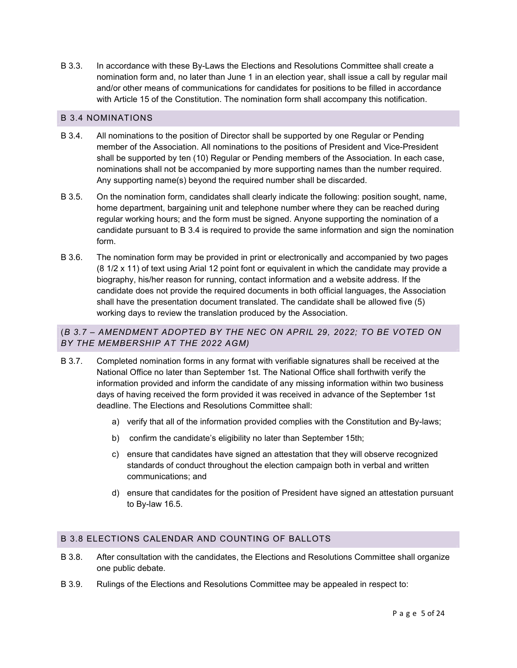B 3.3. In accordance with these By-Laws the Elections and Resolutions Committee shall create a nomination form and, no later than June 1 in an election year, shall issue a call by regular mail and/or other means of communications for candidates for positions to be filled in accordance with Article 15 of the Constitution. The nomination form shall accompany this notification.

### B 3.4 NOMINATIONS

- B 3.4. All nominations to the position of Director shall be supported by one Regular or Pending member of the Association. All nominations to the positions of President and Vice-President shall be supported by ten (10) Regular or Pending members of the Association. In each case, nominations shall not be accompanied by more supporting names than the number required. Any supporting name(s) beyond the required number shall be discarded.
- B 3.5. On the nomination form, candidates shall clearly indicate the following: position sought, name, home department, bargaining unit and telephone number where they can be reached during regular working hours; and the form must be signed. Anyone supporting the nomination of a candidate pursuant to B 3.4 is required to provide the same information and sign the nomination form.
- B 3.6. The nomination form may be provided in print or electronically and accompanied by two pages (8 1/2 x 11) of text using Arial 12 point font or equivalent in which the candidate may provide a biography, his/her reason for running, contact information and a website address. If the candidate does not provide the required documents in both official languages, the Association shall have the presentation document translated. The candidate shall be allowed five (5) working days to review the translation produced by the Association.

### (B 3.7 – AMENDMENT ADOPTED BY THE NEC ON APRIL 29, 2022; TO BE VOTED ON BY THE MEMBERSHIP AT THE 2022 AGM)

- B 3.7. Completed nomination forms in any format with verifiable signatures shall be received at the National Office no later than September 1st. The National Office shall forthwith verify the information provided and inform the candidate of any missing information within two business days of having received the form provided it was received in advance of the September 1st deadline. The Elections and Resolutions Committee shall:
	- a) verify that all of the information provided complies with the Constitution and By-laws;
	- b) confirm the candidate's eligibility no later than September 15th;
	- c) ensure that candidates have signed an attestation that they will observe recognized standards of conduct throughout the election campaign both in verbal and written communications; and
	- d) ensure that candidates for the position of President have signed an attestation pursuant to By-law 16.5.

### B 3.8 ELECTIONS CALENDAR AND COUNTING OF BALLOTS

- B 3.8. After consultation with the candidates, the Elections and Resolutions Committee shall organize one public debate.
- B 3.9. Rulings of the Elections and Resolutions Committee may be appealed in respect to: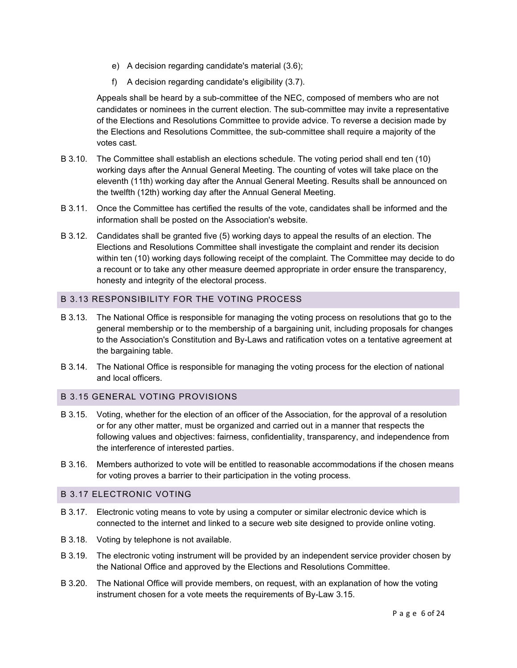- e) A decision regarding candidate's material (3.6);
- f) A decision regarding candidate's eligibility (3.7).

Appeals shall be heard by a sub-committee of the NEC, composed of members who are not candidates or nominees in the current election. The sub-committee may invite a representative of the Elections and Resolutions Committee to provide advice. To reverse a decision made by the Elections and Resolutions Committee, the sub-committee shall require a majority of the votes cast.

- B 3.10. The Committee shall establish an elections schedule. The voting period shall end ten (10) working days after the Annual General Meeting. The counting of votes will take place on the eleventh (11th) working day after the Annual General Meeting. Results shall be announced on the twelfth (12th) working day after the Annual General Meeting.
- B 3.11. Once the Committee has certified the results of the vote, candidates shall be informed and the information shall be posted on the Association's website.
- B 3.12. Candidates shall be granted five (5) working days to appeal the results of an election. The Elections and Resolutions Committee shall investigate the complaint and render its decision within ten (10) working days following receipt of the complaint. The Committee may decide to do a recount or to take any other measure deemed appropriate in order ensure the transparency, honesty and integrity of the electoral process.

### B 3.13 RESPONSIBILITY FOR THE VOTING PROCESS

- B 3.13. The National Office is responsible for managing the voting process on resolutions that go to the general membership or to the membership of a bargaining unit, including proposals for changes to the Association's Constitution and By-Laws and ratification votes on a tentative agreement at the bargaining table.
- B 3.14. The National Office is responsible for managing the voting process for the election of national and local officers.

#### B 3.15 GENERAL VOTING PROVISIONS

- B 3.15. Voting, whether for the election of an officer of the Association, for the approval of a resolution or for any other matter, must be organized and carried out in a manner that respects the following values and objectives: fairness, confidentiality, transparency, and independence from the interference of interested parties.
- B 3.16. Members authorized to vote will be entitled to reasonable accommodations if the chosen means for voting proves a barrier to their participation in the voting process.

#### B 3.17 ELECTRONIC VOTING

- B 3.17. Electronic voting means to vote by using a computer or similar electronic device which is connected to the internet and linked to a secure web site designed to provide online voting.
- B 3.18. Voting by telephone is not available.
- B 3.19. The electronic voting instrument will be provided by an independent service provider chosen by the National Office and approved by the Elections and Resolutions Committee.
- B 3.20. The National Office will provide members, on request, with an explanation of how the voting instrument chosen for a vote meets the requirements of By-Law 3.15.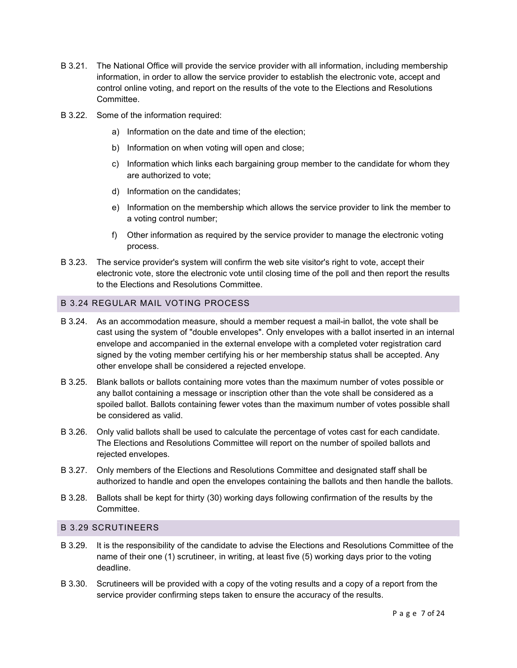- B 3.21. The National Office will provide the service provider with all information, including membership information, in order to allow the service provider to establish the electronic vote, accept and control online voting, and report on the results of the vote to the Elections and Resolutions Committee.
- B 3.22. Some of the information required:
	- a) Information on the date and time of the election;
	- b) Information on when voting will open and close;
	- c) Information which links each bargaining group member to the candidate for whom they are authorized to vote;
	- d) Information on the candidates;
	- e) Information on the membership which allows the service provider to link the member to a voting control number;
	- f) Other information as required by the service provider to manage the electronic voting process.
- B 3.23. The service provider's system will confirm the web site visitor's right to vote, accept their electronic vote, store the electronic vote until closing time of the poll and then report the results to the Elections and Resolutions Committee.

### B 3.24 REGULAR MAIL VOTING PROCESS

- B 3.24. As an accommodation measure, should a member request a mail-in ballot, the vote shall be cast using the system of "double envelopes". Only envelopes with a ballot inserted in an internal envelope and accompanied in the external envelope with a completed voter registration card signed by the voting member certifying his or her membership status shall be accepted. Any other envelope shall be considered a rejected envelope.
- B 3.25. Blank ballots or ballots containing more votes than the maximum number of votes possible or any ballot containing a message or inscription other than the vote shall be considered as a spoiled ballot. Ballots containing fewer votes than the maximum number of votes possible shall be considered as valid.
- B 3.26. Only valid ballots shall be used to calculate the percentage of votes cast for each candidate. The Elections and Resolutions Committee will report on the number of spoiled ballots and rejected envelopes.
- B 3.27. Only members of the Elections and Resolutions Committee and designated staff shall be authorized to handle and open the envelopes containing the ballots and then handle the ballots.
- B 3.28. Ballots shall be kept for thirty (30) working days following confirmation of the results by the Committee.

### B 3.29 SCRUTINEERS

- B 3.29. It is the responsibility of the candidate to advise the Elections and Resolutions Committee of the name of their one (1) scrutineer, in writing, at least five (5) working days prior to the voting deadline.
- B 3.30. Scrutineers will be provided with a copy of the voting results and a copy of a report from the service provider confirming steps taken to ensure the accuracy of the results.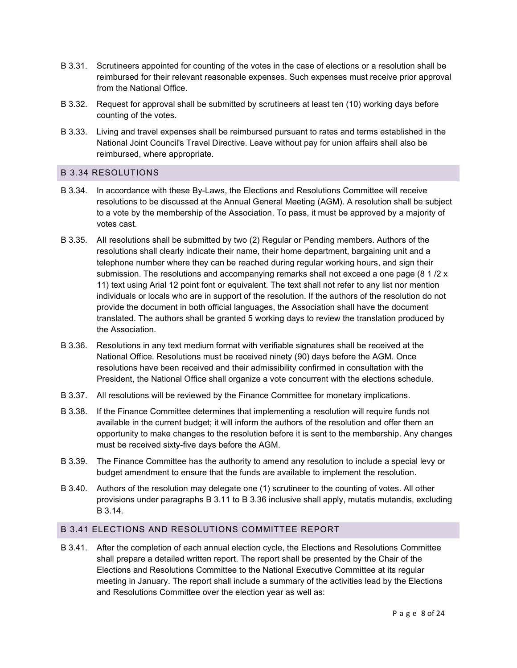- B 3.31. Scrutineers appointed for counting of the votes in the case of elections or a resolution shall be reimbursed for their relevant reasonable expenses. Such expenses must receive prior approval from the National Office.
- B 3.32. Request for approval shall be submitted by scrutineers at least ten (10) working days before counting of the votes.
- B 3.33. Living and travel expenses shall be reimbursed pursuant to rates and terms established in the National Joint Council's Travel Directive. Leave without pay for union affairs shall also be reimbursed, where appropriate.

### B 3.34 RESOLUTIONS

- B 3.34. In accordance with these By-Laws, the Elections and Resolutions Committee will receive resolutions to be discussed at the Annual General Meeting (AGM). A resolution shall be subject to a vote by the membership of the Association. To pass, it must be approved by a majority of votes cast.
- B 3.35. AII resolutions shall be submitted by two (2) Regular or Pending members. Authors of the resolutions shall clearly indicate their name, their home department, bargaining unit and a telephone number where they can be reached during regular working hours, and sign their submission. The resolutions and accompanying remarks shall not exceed a one page  $(8 \frac{1}{2} \times$ 11) text using Arial 12 point font or equivalent. The text shall not refer to any list nor mention individuals or locals who are in support of the resolution. If the authors of the resolution do not provide the document in both official languages, the Association shall have the document translated. The authors shall be granted 5 working days to review the translation produced by the Association.
- B 3.36. Resolutions in any text medium format with verifiable signatures shall be received at the National Office. Resolutions must be received ninety (90) days before the AGM. Once resolutions have been received and their admissibility confirmed in consultation with the President, the National Office shall organize a vote concurrent with the elections schedule.
- B 3.37. All resolutions will be reviewed by the Finance Committee for monetary implications.
- B 3.38. If the Finance Committee determines that implementing a resolution will require funds not available in the current budget; it will inform the authors of the resolution and offer them an opportunity to make changes to the resolution before it is sent to the membership. Any changes must be received sixty-five days before the AGM.
- B 3.39. The Finance Committee has the authority to amend any resolution to include a special levy or budget amendment to ensure that the funds are available to implement the resolution.
- B 3.40. Authors of the resolution may delegate one (1) scrutineer to the counting of votes. All other provisions under paragraphs B 3.11 to B 3.36 inclusive shall apply, mutatis mutandis, excluding B 3.14.

### B 3.41 ELECTIONS AND RESOLUTIONS COMMITTEE REPORT

B 3.41. After the completion of each annual election cycle, the Elections and Resolutions Committee shall prepare a detailed written report. The report shall be presented by the Chair of the Elections and Resolutions Committee to the National Executive Committee at its regular meeting in January. The report shall include a summary of the activities lead by the Elections and Resolutions Committee over the election year as well as: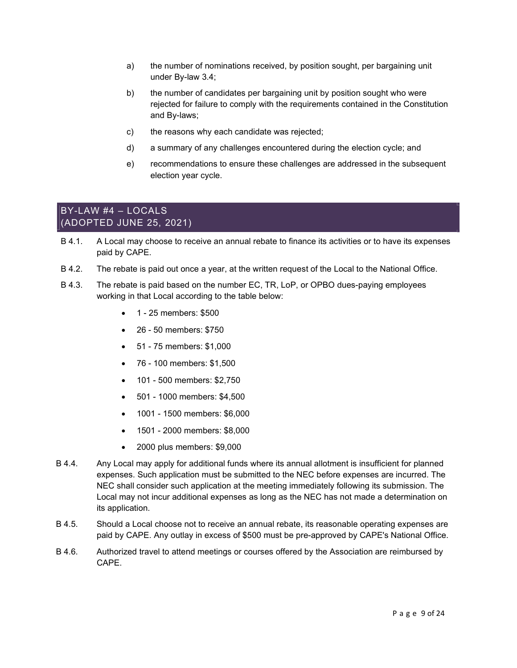- a) the number of nominations received, by position sought, per bargaining unit under By-law 3.4;
- b) the number of candidates per bargaining unit by position sought who were rejected for failure to comply with the requirements contained in the Constitution and By-laws;
- c) the reasons why each candidate was rejected;
- d) a summary of any challenges encountered during the election cycle; and
- e) recommendations to ensure these challenges are addressed in the subsequent election year cycle.

### BY-LAW #4 – LOCALS (ADOPTED JUNE 25, 2021)

- B 4.1. A Local may choose to receive an annual rebate to finance its activities or to have its expenses paid by CAPE.
- B 4.2. The rebate is paid out once a year, at the written request of the Local to the National Office.
- B 4.3. The rebate is paid based on the number EC, TR, LoP, or OPBO dues-paying employees working in that Local according to the table below:
	- 1 25 members: \$500
	- 26 50 members: \$750
	- 51 75 members: \$1,000
	- 76 100 members: \$1,500
	- 101 500 members: \$2,750
	- 501 1000 members: \$4,500
	- 1001 1500 members: \$6,000
	- 1501 2000 members: \$8,000
	- 2000 plus members: \$9,000
- B 4.4. Any Local may apply for additional funds where its annual allotment is insufficient for planned expenses. Such application must be submitted to the NEC before expenses are incurred. The NEC shall consider such application at the meeting immediately following its submission. The Local may not incur additional expenses as long as the NEC has not made a determination on its application.
- B 4.5. Should a Local choose not to receive an annual rebate, its reasonable operating expenses are paid by CAPE. Any outlay in excess of \$500 must be pre-approved by CAPE's National Office.
- B 4.6. Authorized travel to attend meetings or courses offered by the Association are reimbursed by CAPE.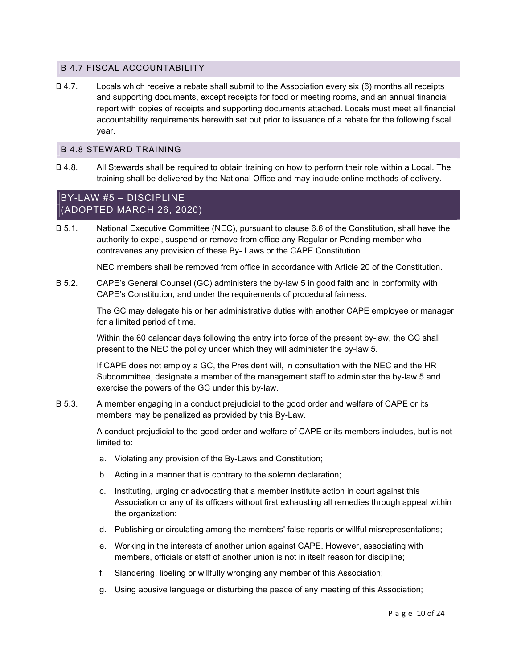### B 4.7 FISCAL ACCOUNTABILITY

B 4.7. Locals which receive a rebate shall submit to the Association every six (6) months all receipts and supporting documents, except receipts for food or meeting rooms, and an annual financial report with copies of receipts and supporting documents attached. Locals must meet all financial accountability requirements herewith set out prior to issuance of a rebate for the following fiscal year.

### B 4.8 STEWARD TRAINING

B 4.8. All Stewards shall be required to obtain training on how to perform their role within a Local. The training shall be delivered by the National Office and may include online methods of delivery.

### BY-LAW #5 – DISCIPLINE (ADOPTED MARCH 26, 2020)

B 5.1. National Executive Committee (NEC), pursuant to clause 6.6 of the Constitution, shall have the authority to expel, suspend or remove from office any Regular or Pending member who contravenes any provision of these By- Laws or the CAPE Constitution.

NEC members shall be removed from office in accordance with Article 20 of the Constitution.

B 5.2. CAPE's General Counsel (GC) administers the by-law 5 in good faith and in conformity with CAPE's Constitution, and under the requirements of procedural fairness.

> The GC may delegate his or her administrative duties with another CAPE employee or manager for a limited period of time.

Within the 60 calendar days following the entry into force of the present by-law, the GC shall present to the NEC the policy under which they will administer the by-law 5.

If CAPE does not employ a GC, the President will, in consultation with the NEC and the HR Subcommittee, designate a member of the management staff to administer the by-law 5 and exercise the powers of the GC under this by-law.

B 5.3. A member engaging in a conduct prejudicial to the good order and welfare of CAPE or its members may be penalized as provided by this By-Law.

> A conduct prejudicial to the good order and welfare of CAPE or its members includes, but is not limited to:

- a. Violating any provision of the By-Laws and Constitution;
- b. Acting in a manner that is contrary to the solemn declaration;
- c. Instituting, urging or advocating that a member institute action in court against this Association or any of its officers without first exhausting all remedies through appeal within the organization;
- d. Publishing or circulating among the members' false reports or willful misrepresentations;
- e. Working in the interests of another union against CAPE. However, associating with members, officials or staff of another union is not in itself reason for discipline;
- f. Slandering, libeling or willfully wronging any member of this Association;
- g. Using abusive language or disturbing the peace of any meeting of this Association;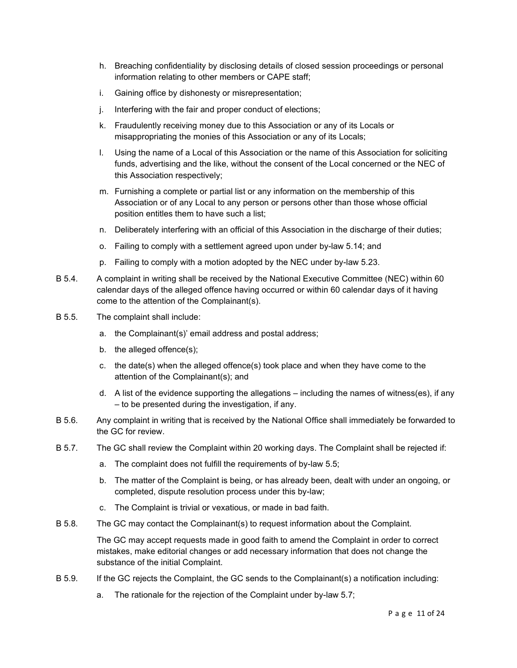- h. Breaching confidentiality by disclosing details of closed session proceedings or personal information relating to other members or CAPE staff;
- i. Gaining office by dishonesty or misrepresentation;
- j. Interfering with the fair and proper conduct of elections;
- k. Fraudulently receiving money due to this Association or any of its Locals or misappropriating the monies of this Association or any of its Locals;
- l. Using the name of a Local of this Association or the name of this Association for soliciting funds, advertising and the like, without the consent of the Local concerned or the NEC of this Association respectively;
- m. Furnishing a complete or partial list or any information on the membership of this Association or of any Local to any person or persons other than those whose official position entitles them to have such a list;
- n. Deliberately interfering with an official of this Association in the discharge of their duties;
- o. Failing to comply with a settlement agreed upon under by-law 5.14; and
- p. Failing to comply with a motion adopted by the NEC under by-law 5.23.
- B 5.4. A complaint in writing shall be received by the National Executive Committee (NEC) within 60 calendar days of the alleged offence having occurred or within 60 calendar days of it having come to the attention of the Complainant(s).
- B 5.5. The complaint shall include:
	- a. the Complainant(s)' email address and postal address;
	- b. the alleged offence(s);
	- c. the date(s) when the alleged offence(s) took place and when they have come to the attention of the Complainant(s); and
	- d. A list of the evidence supporting the allegations including the names of witness(es), if any – to be presented during the investigation, if any.
- B 5.6. Any complaint in writing that is received by the National Office shall immediately be forwarded to the GC for review.
- B 5.7. The GC shall review the Complaint within 20 working days. The Complaint shall be rejected if:
	- a. The complaint does not fulfill the requirements of by-law 5.5;
	- b. The matter of the Complaint is being, or has already been, dealt with under an ongoing, or completed, dispute resolution process under this by-law;
	- c. The Complaint is trivial or vexatious, or made in bad faith.
- B 5.8. The GC may contact the Complainant(s) to request information about the Complaint.

The GC may accept requests made in good faith to amend the Complaint in order to correct mistakes, make editorial changes or add necessary information that does not change the substance of the initial Complaint.

- B 5.9. If the GC rejects the Complaint, the GC sends to the Complainant(s) a notification including:
	- a. The rationale for the rejection of the Complaint under by-law 5.7;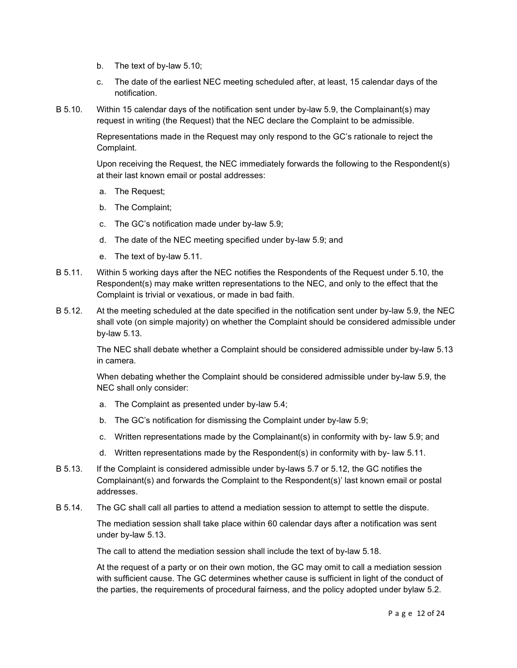- b. The text of by-law 5.10;
- c. The date of the earliest NEC meeting scheduled after, at least, 15 calendar days of the notification.
- B 5.10. Within 15 calendar days of the notification sent under by-law 5.9, the Complainant(s) may request in writing (the Request) that the NEC declare the Complaint to be admissible.

Representations made in the Request may only respond to the GC's rationale to reject the Complaint.

Upon receiving the Request, the NEC immediately forwards the following to the Respondent(s) at their last known email or postal addresses:

- a. The Request;
- b. The Complaint;
- c. The GC's notification made under by-law 5.9;
- d. The date of the NEC meeting specified under by-law 5.9; and
- e. The text of by-law 5.11.
- B 5.11. Within 5 working days after the NEC notifies the Respondents of the Request under 5.10, the Respondent(s) may make written representations to the NEC, and only to the effect that the Complaint is trivial or vexatious, or made in bad faith.
- B 5.12. At the meeting scheduled at the date specified in the notification sent under by-law 5.9, the NEC shall vote (on simple majority) on whether the Complaint should be considered admissible under by-law 5.13.

The NEC shall debate whether a Complaint should be considered admissible under by-law 5.13 in camera.

When debating whether the Complaint should be considered admissible under by-law 5.9, the NEC shall only consider:

- a. The Complaint as presented under by-law 5.4;
- b. The GC's notification for dismissing the Complaint under by-law 5.9;
- c. Written representations made by the Complainant(s) in conformity with by- law 5.9; and
- d. Written representations made by the Respondent(s) in conformity with by- law 5.11.
- B 5.13. If the Complaint is considered admissible under by-laws 5.7 or 5.12, the GC notifies the Complainant(s) and forwards the Complaint to the Respondent(s)' last known email or postal addresses.
- B 5.14. The GC shall call all parties to attend a mediation session to attempt to settle the dispute.

The mediation session shall take place within 60 calendar days after a notification was sent under by-law 5.13.

The call to attend the mediation session shall include the text of by-law 5.18.

At the request of a party or on their own motion, the GC may omit to call a mediation session with sufficient cause. The GC determines whether cause is sufficient in light of the conduct of the parties, the requirements of procedural fairness, and the policy adopted under bylaw 5.2.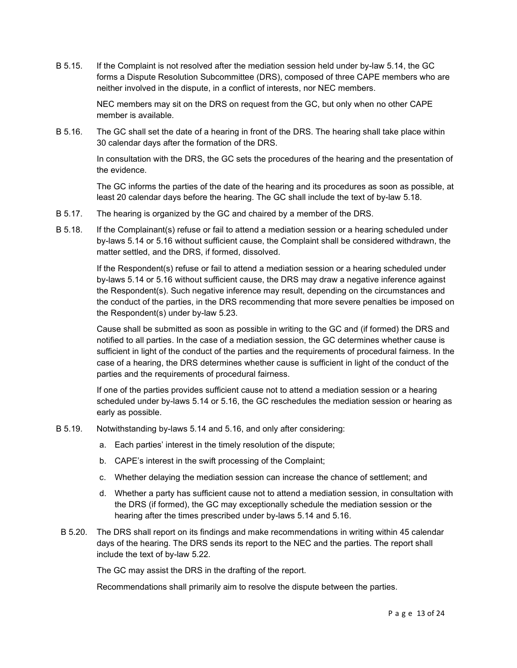B 5.15. If the Complaint is not resolved after the mediation session held under by-law 5.14, the GC forms a Dispute Resolution Subcommittee (DRS), composed of three CAPE members who are neither involved in the dispute, in a conflict of interests, nor NEC members.

> NEC members may sit on the DRS on request from the GC, but only when no other CAPE member is available.

B 5.16. The GC shall set the date of a hearing in front of the DRS. The hearing shall take place within 30 calendar days after the formation of the DRS.

> In consultation with the DRS, the GC sets the procedures of the hearing and the presentation of the evidence.

> The GC informs the parties of the date of the hearing and its procedures as soon as possible, at least 20 calendar days before the hearing. The GC shall include the text of by-law 5.18.

- B 5.17. The hearing is organized by the GC and chaired by a member of the DRS.
- B 5.18. If the Complainant(s) refuse or fail to attend a mediation session or a hearing scheduled under by-laws 5.14 or 5.16 without sufficient cause, the Complaint shall be considered withdrawn, the matter settled, and the DRS, if formed, dissolved.

If the Respondent(s) refuse or fail to attend a mediation session or a hearing scheduled under by-laws 5.14 or 5.16 without sufficient cause, the DRS may draw a negative inference against the Respondent(s). Such negative inference may result, depending on the circumstances and the conduct of the parties, in the DRS recommending that more severe penalties be imposed on the Respondent(s) under by-law 5.23.

Cause shall be submitted as soon as possible in writing to the GC and (if formed) the DRS and notified to all parties. In the case of a mediation session, the GC determines whether cause is sufficient in light of the conduct of the parties and the requirements of procedural fairness. In the case of a hearing, the DRS determines whether cause is sufficient in light of the conduct of the parties and the requirements of procedural fairness.

If one of the parties provides sufficient cause not to attend a mediation session or a hearing scheduled under by-laws 5.14 or 5.16, the GC reschedules the mediation session or hearing as early as possible.

- B 5.19. Notwithstanding by-laws 5.14 and 5.16, and only after considering:
	- a. Each parties' interest in the timely resolution of the dispute;
	- b. CAPE's interest in the swift processing of the Complaint;
	- c. Whether delaying the mediation session can increase the chance of settlement; and
	- d. Whether a party has sufficient cause not to attend a mediation session, in consultation with the DRS (if formed), the GC may exceptionally schedule the mediation session or the hearing after the times prescribed under by-laws 5.14 and 5.16.
- B 5.20. The DRS shall report on its findings and make recommendations in writing within 45 calendar days of the hearing. The DRS sends its report to the NEC and the parties. The report shall include the text of by-law 5.22.

The GC may assist the DRS in the drafting of the report.

Recommendations shall primarily aim to resolve the dispute between the parties.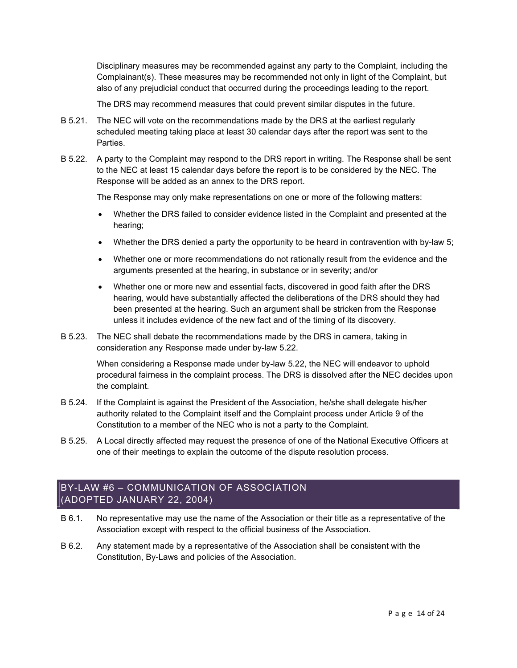Disciplinary measures may be recommended against any party to the Complaint, including the Complainant(s). These measures may be recommended not only in light of the Complaint, but also of any prejudicial conduct that occurred during the proceedings leading to the report.

The DRS may recommend measures that could prevent similar disputes in the future.

- B 5.21. The NEC will vote on the recommendations made by the DRS at the earliest regularly scheduled meeting taking place at least 30 calendar days after the report was sent to the Parties.
- B 5.22. A party to the Complaint may respond to the DRS report in writing. The Response shall be sent to the NEC at least 15 calendar days before the report is to be considered by the NEC. The Response will be added as an annex to the DRS report.

The Response may only make representations on one or more of the following matters:

- Whether the DRS failed to consider evidence listed in the Complaint and presented at the hearing;
- Whether the DRS denied a party the opportunity to be heard in contravention with by-law 5;
- Whether one or more recommendations do not rationally result from the evidence and the arguments presented at the hearing, in substance or in severity; and/or
- Whether one or more new and essential facts, discovered in good faith after the DRS hearing, would have substantially affected the deliberations of the DRS should they had been presented at the hearing. Such an argument shall be stricken from the Response unless it includes evidence of the new fact and of the timing of its discovery.
- B 5.23. The NEC shall debate the recommendations made by the DRS in camera, taking in consideration any Response made under by-law 5.22.

When considering a Response made under by-law 5.22, the NEC will endeavor to uphold procedural fairness in the complaint process. The DRS is dissolved after the NEC decides upon the complaint.

- B 5.24. If the Complaint is against the President of the Association, he/she shall delegate his/her authority related to the Complaint itself and the Complaint process under Article 9 of the Constitution to a member of the NEC who is not a party to the Complaint.
- B 5.25. A Local directly affected may request the presence of one of the National Executive Officers at one of their meetings to explain the outcome of the dispute resolution process.

## BY-LAW #6 – COMMUNICATION OF ASSOCIATION (ADOPTED JANUARY 22, 2004)

- B 6.1. No representative may use the name of the Association or their title as a representative of the Association except with respect to the official business of the Association.
- B 6.2. Any statement made by a representative of the Association shall be consistent with the Constitution, By-Laws and policies of the Association.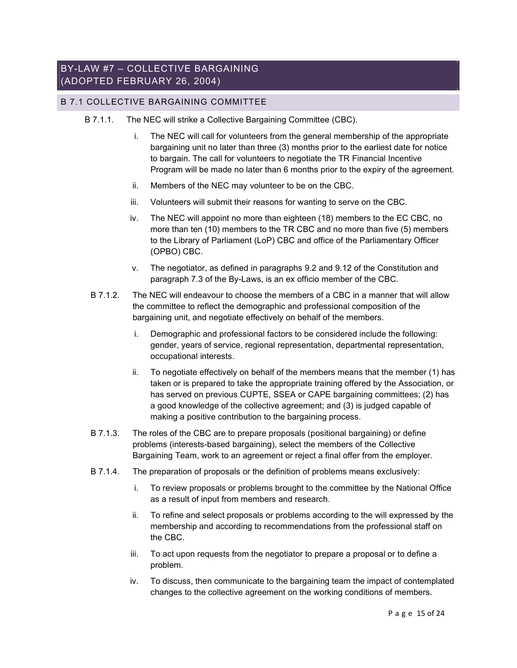### BY-LAW #7 – COLLECTIVE BARGAINING (ADOPTED FEBRUARY 26, 2004)

### B 7.1 COLLECTIVE BARGAINING COMMITTEE

- B 7.1.1. The NEC will strike a Collective Bargaining Committee (CBC).
	- i. The NEC will call for volunteers from the general membership of the appropriate bargaining unit no later than three (3) months prior to the earliest date for notice to bargain. The call for volunteers to negotiate the TR Financial Incentive Program will be made no later than 6 months prior to the expiry of the agreement.
	- ii. Members of the NEC may volunteer to be on the CBC.
	- iii. Volunteers will submit their reasons for wanting to serve on the CBC.
	- iv. The NEC will appoint no more than eighteen (18) members to the EC CBC, no more than ten (10) members to the TR CBC and no more than five (5) members to the Library of Parliament (LoP) CBC and office of the Parliamentary Officer (OPBO) CBC.
	- v. The negotiator, as defined in paragraphs 9.2 and 9.12 of the Constitution and paragraph 7.3 of the By-Laws, is an ex officio member of the CBC.
	- B 7.1.2. The NEC will endeavour to choose the members of a CBC in a manner that will allow the committee to reflect the demographic and professional composition of the bargaining unit, and negotiate effectively on behalf of the members.
		- i. Demographic and professional factors to be considered include the following: gender, years of service, regional representation, departmental representation, occupational interests.
		- ii. To negotiate effectively on behalf of the members means that the member (1) has taken or is prepared to take the appropriate training offered by the Association, or has served on previous CUPTE, SSEA or CAPE bargaining committees; (2) has a good knowledge of the collective agreement; and (3) is judged capable of making a positive contribution to the bargaining process.
	- B 7.1.3. The roles of the CBC are to prepare proposals (positional bargaining) or define problems (interests-based bargaining), select the members of the Collective Bargaining Team, work to an agreement or reject a final offer from the employer.
	- B 7.1.4. The preparation of proposals or the definition of problems means exclusively:
		- i. To review proposals or problems brought to the committee by the National Office as a result of input from members and research.
		- ii. To refine and select proposals or problems according to the will expressed by the membership and according to recommendations from the professional staff on the CBC.
		- iii. To act upon requests from the negotiator to prepare a proposal or to define a problem.
		- iv. To discuss, then communicate to the bargaining team the impact of contemplated changes to the collective agreement on the working conditions of members.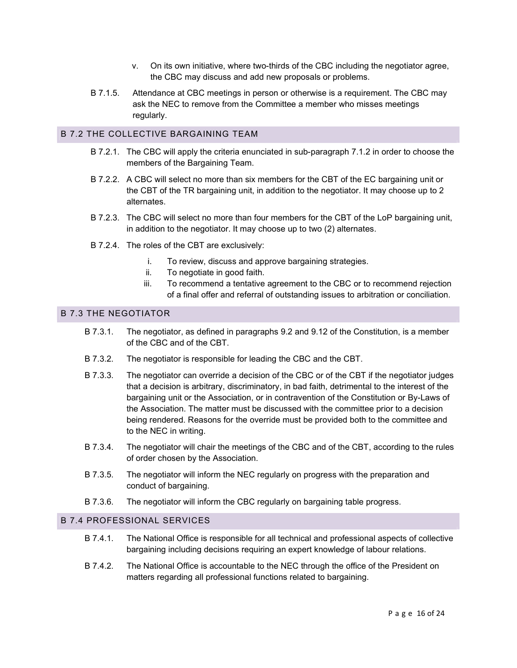- v. On its own initiative, where two-thirds of the CBC including the negotiator agree, the CBC may discuss and add new proposals or problems.
- B 7.1.5. Attendance at CBC meetings in person or otherwise is a requirement. The CBC may ask the NEC to remove from the Committee a member who misses meetings regularly.

### B 7.2 THE COLLECTIVE BARGAINING TEAM

- B 7.2.1. The CBC will apply the criteria enunciated in sub-paragraph 7.1.2 in order to choose the members of the Bargaining Team.
- B 7.2.2. A CBC will select no more than six members for the CBT of the EC bargaining unit or the CBT of the TR bargaining unit, in addition to the negotiator. It may choose up to 2 alternates.
- B 7.2.3. The CBC will select no more than four members for the CBT of the LoP bargaining unit, in addition to the negotiator. It may choose up to two (2) alternates.
- B 7.2.4. The roles of the CBT are exclusively:
	- i. To review, discuss and approve bargaining strategies.
	- ii. To negotiate in good faith.
	- iii. To recommend a tentative agreement to the CBC or to recommend rejection of a final offer and referral of outstanding issues to arbitration or conciliation.

### B 7.3 THE NEGOTIATOR

- B 7.3.1. The negotiator, as defined in paragraphs 9.2 and 9.12 of the Constitution, is a member of the CBC and of the CBT.
- B 7.3.2. The negotiator is responsible for leading the CBC and the CBT.
- B 7.3.3. The negotiator can override a decision of the CBC or of the CBT if the negotiator judges that a decision is arbitrary, discriminatory, in bad faith, detrimental to the interest of the bargaining unit or the Association, or in contravention of the Constitution or By-Laws of the Association. The matter must be discussed with the committee prior to a decision being rendered. Reasons for the override must be provided both to the committee and to the NEC in writing.
- B 7.3.4. The negotiator will chair the meetings of the CBC and of the CBT, according to the rules of order chosen by the Association.
- B 7.3.5. The negotiator will inform the NEC regularly on progress with the preparation and conduct of bargaining.
- B 7.3.6. The negotiator will inform the CBC regularly on bargaining table progress.

### B 7.4 PROFESSIONAL SERVICES

- B 7.4.1. The National Office is responsible for all technical and professional aspects of collective bargaining including decisions requiring an expert knowledge of labour relations.
- B 7.4.2. The National Office is accountable to the NEC through the office of the President on matters regarding all professional functions related to bargaining.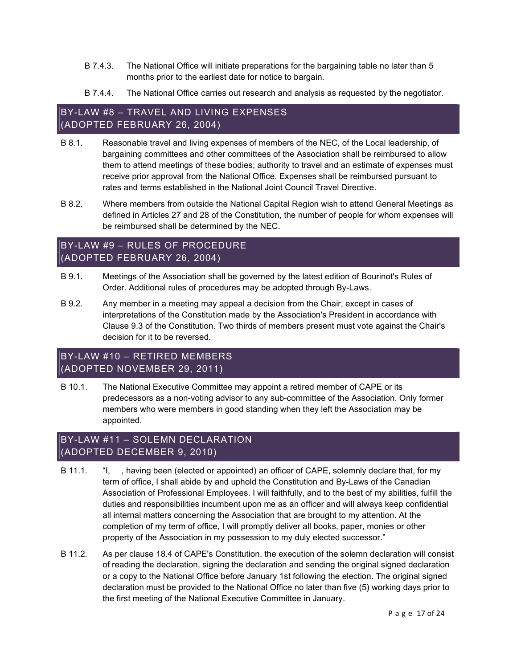- B 7.4.3. The National Office will initiate preparations for the bargaining table no later than 5 months prior to the earliest date for notice to bargain.
- B 7.4.4. The National Office carries out research and analysis as requested by the negotiator.

## BY-LAW #8 – TRAVEL AND LIVING EXPENSES (ADOPTED FEBRUARY 26, 2004)

- B 8.1. Reasonable travel and living expenses of members of the NEC, of the Local leadership, of bargaining committees and other committees of the Association shall be reimbursed to allow them to attend meetings of these bodies; authority to travel and an estimate of expenses must receive prior approval from the National Office. Expenses shall be reimbursed pursuant to rates and terms established in the National Joint Council Travel Directive.
- B 8.2. Where members from outside the National Capital Region wish to attend General Meetings as defined in Articles 27 and 28 of the Constitution, the number of people for whom expenses will be reimbursed shall be determined by the NEC.

## BY-LAW #9 – RULES OF PROCEDURE (ADOPTED FEBRUARY 26, 2004)

- B 9.1. Meetings of the Association shall be governed by the latest edition of Bourinot's Rules of Order. Additional rules of procedures may be adopted through By-Laws.
- B 9.2. Any member in a meeting may appeal a decision from the Chair, except in cases of interpretations of the Constitution made by the Association's President in accordance with Clause 9.3 of the Constitution. Two thirds of members present must vote against the Chair's decision for it to be reversed.

## BY-LAW #10 – RETIRED MEMBERS (ADOPTED NOVEMBER 29, 2011)

B 10.1. The National Executive Committee may appoint a retired member of CAPE or its predecessors as a non-voting advisor to any sub-committee of the Association. Only former members who were members in good standing when they left the Association may be appointed.

## BY-LAW #11 – SOLEMN DECLARATION (ADOPTED DECEMBER 9, 2010)

- B 11.1. "I, having been (elected or appointed) an officer of CAPE, solemnly declare that, for my term of office, I shall abide by and uphold the Constitution and By-Laws of the Canadian Association of Professional Employees. I will faithfully, and to the best of my abilities, fulfill the duties and responsibilities incumbent upon me as an officer and will always keep confidential all internal matters concerning the Association that are brought to my attention. At the completion of my term of office, I will promptly deliver all books, paper, monies or other property of the Association in my possession to my duly elected successor."
- B 11.2. As per clause 18.4 of CAPE's Constitution, the execution of the solemn declaration will consist of reading the declaration, signing the declaration and sending the original signed declaration or a copy to the National Office before January 1st following the election. The original signed declaration must be provided to the National Office no later than five (5) working days prior to the first meeting of the National Executive Committee in January.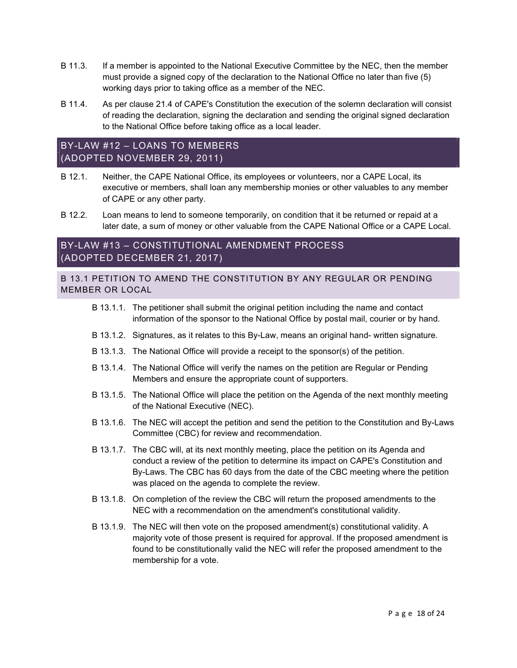- B 11.3. If a member is appointed to the National Executive Committee by the NEC, then the member must provide a signed copy of the declaration to the National Office no later than five (5) working days prior to taking office as a member of the NEC.
- B 11.4. As per clause 21.4 of CAPE's Constitution the execution of the solemn declaration will consist of reading the declaration, signing the declaration and sending the original signed declaration to the National Office before taking office as a local leader.

## BY-LAW #12 – LOANS TO MEMBERS (ADOPTED NOVEMBER 29, 2011)

- B 12.1. Neither, the CAPE National Office, its employees or volunteers, nor a CAPE Local, its executive or members, shall loan any membership monies or other valuables to any member of CAPE or any other party.
- B 12.2. Loan means to lend to someone temporarily, on condition that it be returned or repaid at a later date, a sum of money or other valuable from the CAPE National Office or a CAPE Local.

## BY-LAW #13 – CONSTITUTIONAL AMENDMENT PROCESS (ADOPTED DECEMBER 21, 2017)

B 13.1 PETITION TO AMEND THE CONSTITUTION BY ANY REGULAR OR PENDING MEMBER OR LOCAL

- B 13.1.1. The petitioner shall submit the original petition including the name and contact information of the sponsor to the National Office by postal mail, courier or by hand.
- B 13.1.2. Signatures, as it relates to this By-Law, means an original hand- written signature.
- B 13.1.3. The National Office will provide a receipt to the sponsor(s) of the petition.
- B 13.1.4. The National Office will verify the names on the petition are Regular or Pending Members and ensure the appropriate count of supporters.
- B 13.1.5. The National Office will place the petition on the Agenda of the next monthly meeting of the National Executive (NEC).
- B 13.1.6. The NEC will accept the petition and send the petition to the Constitution and By-Laws Committee (CBC) for review and recommendation.
- B 13.1.7. The CBC will, at its next monthly meeting, place the petition on its Agenda and conduct a review of the petition to determine its impact on CAPE's Constitution and By-Laws. The CBC has 60 days from the date of the CBC meeting where the petition was placed on the agenda to complete the review.
- B 13.1.8. On completion of the review the CBC will return the proposed amendments to the NEC with a recommendation on the amendment's constitutional validity.
- B 13.1.9. The NEC will then vote on the proposed amendment(s) constitutional validity. A majority vote of those present is required for approval. If the proposed amendment is found to be constitutionally valid the NEC will refer the proposed amendment to the membership for a vote.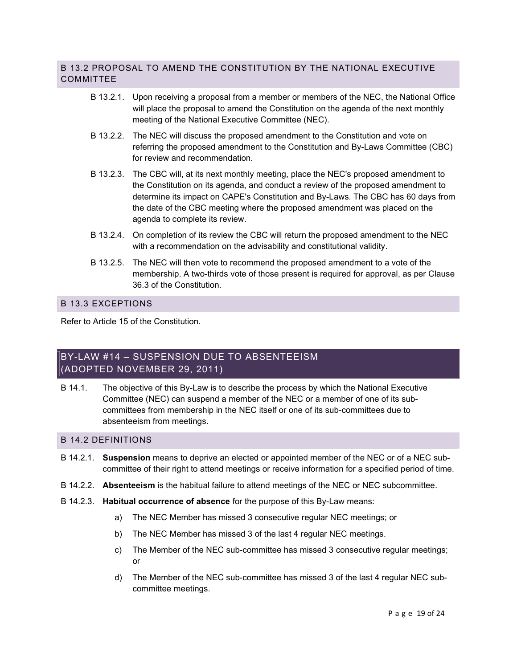### B 13.2 PROPOSAL TO AMEND THE CONSTITUTION BY THE NATIONAL EXECUTIVE COMMITTEE

- B 13.2.1. Upon receiving a proposal from a member or members of the NEC, the National Office will place the proposal to amend the Constitution on the agenda of the next monthly meeting of the National Executive Committee (NEC).
- B 13.2.2. The NEC will discuss the proposed amendment to the Constitution and vote on referring the proposed amendment to the Constitution and By-Laws Committee (CBC) for review and recommendation.
- B 13.2.3. The CBC will, at its next monthly meeting, place the NEC's proposed amendment to the Constitution on its agenda, and conduct a review of the proposed amendment to determine its impact on CAPE's Constitution and By-Laws. The CBC has 60 days from the date of the CBC meeting where the proposed amendment was placed on the agenda to complete its review.
- B 13.2.4. On completion of its review the CBC will return the proposed amendment to the NEC with a recommendation on the advisability and constitutional validity.
- B 13.2.5. The NEC will then vote to recommend the proposed amendment to a vote of the membership. A two-thirds vote of those present is required for approval, as per Clause 36.3 of the Constitution.

### B 13.3 EXCEPTIONS

Refer to Article 15 of the Constitution.

## BY-LAW #14 – SUSPENSION DUE TO ABSENTEEISM (ADOPTED NOVEMBER 29, 2011)

B 14.1. The objective of this By-Law is to describe the process by which the National Executive Committee (NEC) can suspend a member of the NEC or a member of one of its subcommittees from membership in the NEC itself or one of its sub-committees due to absenteeism from meetings.

#### B 14.2 DEFINITIONS

- B 14.2.1. Suspension means to deprive an elected or appointed member of the NEC or of a NEC subcommittee of their right to attend meetings or receive information for a specified period of time.
- B 14.2.2. Absenteeism is the habitual failure to attend meetings of the NEC or NEC subcommittee.
- B 14.2.3. Habitual occurrence of absence for the purpose of this By-Law means:
	- a) The NEC Member has missed 3 consecutive regular NEC meetings; or
	- b) The NEC Member has missed 3 of the last 4 regular NEC meetings.
	- c) The Member of the NEC sub-committee has missed 3 consecutive regular meetings; or
	- d) The Member of the NEC sub-committee has missed 3 of the last 4 regular NEC subcommittee meetings.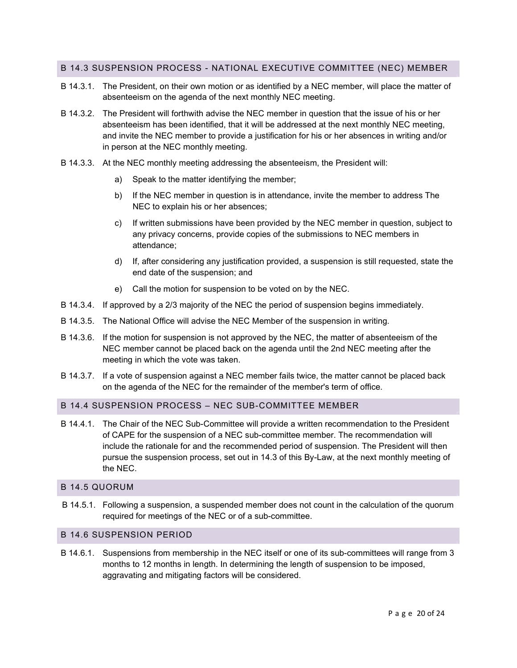### B 14.3 SUSPENSION PROCESS - NATIONAL EXECUTIVE COMMITTEE (NEC) MEMBER

- B 14.3.1. The President, on their own motion or as identified by a NEC member, will place the matter of absenteeism on the agenda of the next monthly NEC meeting.
- B 14.3.2. The President will forthwith advise the NEC member in question that the issue of his or her absenteeism has been identified, that it will be addressed at the next monthly NEC meeting, and invite the NEC member to provide a justification for his or her absences in writing and/or in person at the NEC monthly meeting.
- B 14.3.3. At the NEC monthly meeting addressing the absenteeism, the President will:
	- a) Speak to the matter identifying the member;
	- b) If the NEC member in question is in attendance, invite the member to address The NEC to explain his or her absences;
	- c) If written submissions have been provided by the NEC member in question, subject to any privacy concerns, provide copies of the submissions to NEC members in attendance;
	- d) If, after considering any justification provided, a suspension is still requested, state the end date of the suspension; and
	- e) Call the motion for suspension to be voted on by the NEC.
- B 14.3.4. If approved by a 2/3 majority of the NEC the period of suspension begins immediately.
- B 14.3.5. The National Office will advise the NEC Member of the suspension in writing.
- B 14.3.6. If the motion for suspension is not approved by the NEC, the matter of absenteeism of the NEC member cannot be placed back on the agenda until the 2nd NEC meeting after the meeting in which the vote was taken.
- B 14.3.7. If a vote of suspension against a NEC member fails twice, the matter cannot be placed back on the agenda of the NEC for the remainder of the member's term of office.

#### B 14.4 SUSPENSION PROCESS – NEC SUB-COMMITTEE MEMBER

B 14.4.1. The Chair of the NEC Sub-Committee will provide a written recommendation to the President of CAPE for the suspension of a NEC sub-committee member. The recommendation will include the rationale for and the recommended period of suspension. The President will then pursue the suspension process, set out in 14.3 of this By-Law, at the next monthly meeting of the NEC.

### B 14.5 QUORUM

B 14.5.1. Following a suspension, a suspended member does not count in the calculation of the quorum required for meetings of the NEC or of a sub-committee.

#### B 14.6 SUSPENSION PERIOD

B 14.6.1. Suspensions from membership in the NEC itself or one of its sub-committees will range from 3 months to 12 months in length. In determining the length of suspension to be imposed, aggravating and mitigating factors will be considered.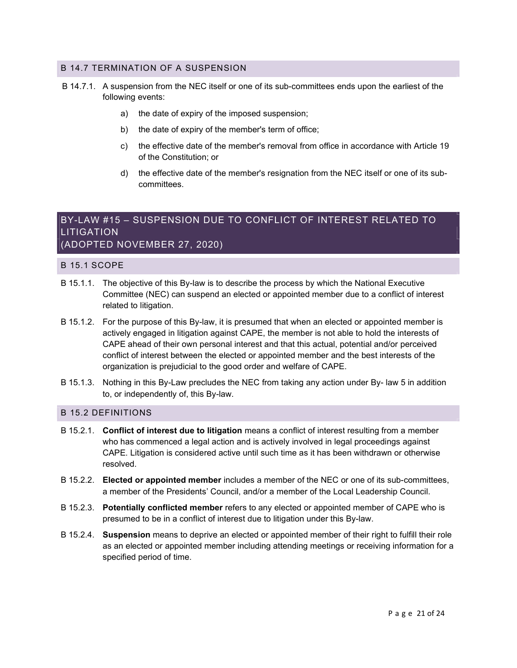### B 14.7 TERMINATION OF A SUSPENSION

- B 14.7.1. A suspension from the NEC itself or one of its sub-committees ends upon the earliest of the following events:
	- a) the date of expiry of the imposed suspension;
	- b) the date of expiry of the member's term of office;
	- c) the effective date of the member's removal from office in accordance with Article 19 of the Constitution; or
	- d) the effective date of the member's resignation from the NEC itself or one of its subcommittees.

## BY-LAW #15 – SUSPENSION DUE TO CONFLICT OF INTEREST RELATED TO **LITIGATION** (ADOPTED NOVEMBER 27, 2020)

#### B 15.1 SCOPE

- B 15.1.1. The objective of this By-law is to describe the process by which the National Executive Committee (NEC) can suspend an elected or appointed member due to a conflict of interest related to litigation.
- B 15.1.2. For the purpose of this By-law, it is presumed that when an elected or appointed member is actively engaged in litigation against CAPE, the member is not able to hold the interests of CAPE ahead of their own personal interest and that this actual, potential and/or perceived conflict of interest between the elected or appointed member and the best interests of the organization is prejudicial to the good order and welfare of CAPE.
- B 15.1.3. Nothing in this By-Law precludes the NEC from taking any action under By- law 5 in addition to, or independently of, this By-law.

### B 15.2 DEFINITIONS

- B 15.2.1. Conflict of interest due to litigation means a conflict of interest resulting from a member who has commenced a legal action and is actively involved in legal proceedings against CAPE. Litigation is considered active until such time as it has been withdrawn or otherwise resolved.
- B 15.2.2. Elected or appointed member includes a member of the NEC or one of its sub-committees, a member of the Presidents' Council, and/or a member of the Local Leadership Council.
- B 15.2.3. Potentially conflicted member refers to any elected or appointed member of CAPE who is presumed to be in a conflict of interest due to litigation under this By-law.
- B 15.2.4. Suspension means to deprive an elected or appointed member of their right to fulfill their role as an elected or appointed member including attending meetings or receiving information for a specified period of time.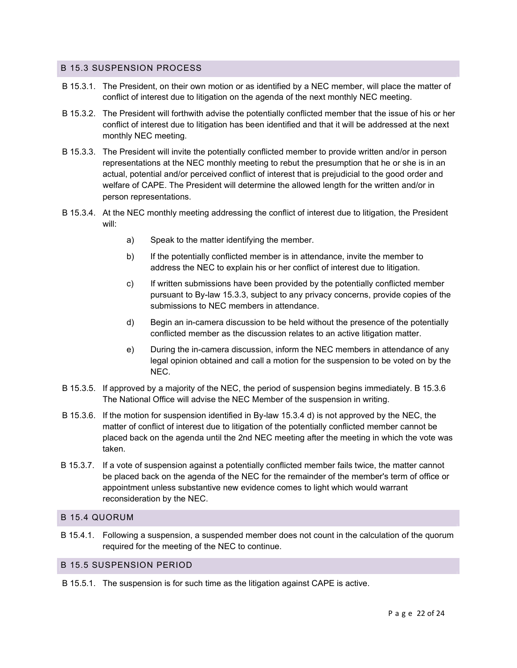### B 15.3 SUSPENSION PROCESS

- B 15.3.1. The President, on their own motion or as identified by a NEC member, will place the matter of conflict of interest due to litigation on the agenda of the next monthly NEC meeting.
- B 15.3.2. The President will forthwith advise the potentially conflicted member that the issue of his or her conflict of interest due to litigation has been identified and that it will be addressed at the next monthly NEC meeting.
- B 15.3.3. The President will invite the potentially conflicted member to provide written and/or in person representations at the NEC monthly meeting to rebut the presumption that he or she is in an actual, potential and/or perceived conflict of interest that is prejudicial to the good order and welfare of CAPE. The President will determine the allowed length for the written and/or in person representations.
- B 15.3.4. At the NEC monthly meeting addressing the conflict of interest due to litigation, the President will:
	- a) Speak to the matter identifying the member.
	- b) If the potentially conflicted member is in attendance, invite the member to address the NEC to explain his or her conflict of interest due to litigation.
	- c) If written submissions have been provided by the potentially conflicted member pursuant to By-law 15.3.3, subject to any privacy concerns, provide copies of the submissions to NEC members in attendance.
	- d) Begin an in-camera discussion to be held without the presence of the potentially conflicted member as the discussion relates to an active litigation matter.
	- e) During the in-camera discussion, inform the NEC members in attendance of any legal opinion obtained and call a motion for the suspension to be voted on by the NEC.
- B 15.3.5. If approved by a majority of the NEC, the period of suspension begins immediately. B 15.3.6 The National Office will advise the NEC Member of the suspension in writing.
- B 15.3.6. If the motion for suspension identified in By-law 15.3.4 d) is not approved by the NEC, the matter of conflict of interest due to litigation of the potentially conflicted member cannot be placed back on the agenda until the 2nd NEC meeting after the meeting in which the vote was taken.
- B 15.3.7. If a vote of suspension against a potentially conflicted member fails twice, the matter cannot be placed back on the agenda of the NEC for the remainder of the member's term of office or appointment unless substantive new evidence comes to light which would warrant reconsideration by the NEC.

### B 15.4 QUORUM

B 15.4.1. Following a suspension, a suspended member does not count in the calculation of the quorum required for the meeting of the NEC to continue.

#### B 15.5 SUSPENSION PERIOD

B 15.5.1. The suspension is for such time as the litigation against CAPE is active.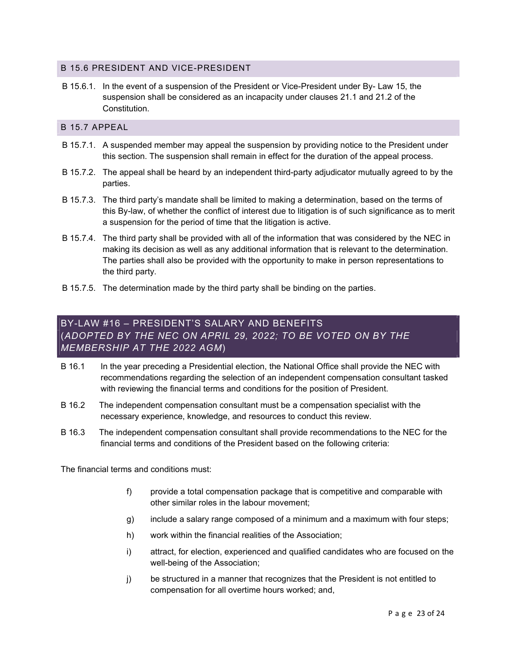### B 15.6 PRESIDENT AND VICE-PRESIDENT

B 15.6.1. In the event of a suspension of the President or Vice-President under By- Law 15, the suspension shall be considered as an incapacity under clauses 21.1 and 21.2 of the Constitution.

### B 15.7 APPEAL

- B 15.7.1. A suspended member may appeal the suspension by providing notice to the President under this section. The suspension shall remain in effect for the duration of the appeal process.
- B 15.7.2. The appeal shall be heard by an independent third-party adjudicator mutually agreed to by the parties.
- B 15.7.3. The third party's mandate shall be limited to making a determination, based on the terms of this By-law, of whether the conflict of interest due to litigation is of such significance as to merit a suspension for the period of time that the litigation is active.
- B 15.7.4. The third party shall be provided with all of the information that was considered by the NEC in making its decision as well as any additional information that is relevant to the determination. The parties shall also be provided with the opportunity to make in person representations to the third party.
- B 15.7.5. The determination made by the third party shall be binding on the parties.

## BY-LAW #16 – PRESIDENT'S SALARY AND BENEFITS (ADOPTED BY THE NEC ON APRIL 29, 2022; TO BE VOTED ON BY THE MEMBERSHIP AT THE 2022 AGM)

- B 16.1 In the year preceding a Presidential election, the National Office shall provide the NEC with recommendations regarding the selection of an independent compensation consultant tasked with reviewing the financial terms and conditions for the position of President.
- B 16.2 The independent compensation consultant must be a compensation specialist with the necessary experience, knowledge, and resources to conduct this review.
- B 16.3 The independent compensation consultant shall provide recommendations to the NEC for the financial terms and conditions of the President based on the following criteria:

The financial terms and conditions must:

- f) provide a total compensation package that is competitive and comparable with other similar roles in the labour movement;
- g) include a salary range composed of a minimum and a maximum with four steps;
- h) work within the financial realities of the Association;
- i) attract, for election, experienced and qualified candidates who are focused on the well-being of the Association;
- j) be structured in a manner that recognizes that the President is not entitled to compensation for all overtime hours worked; and,